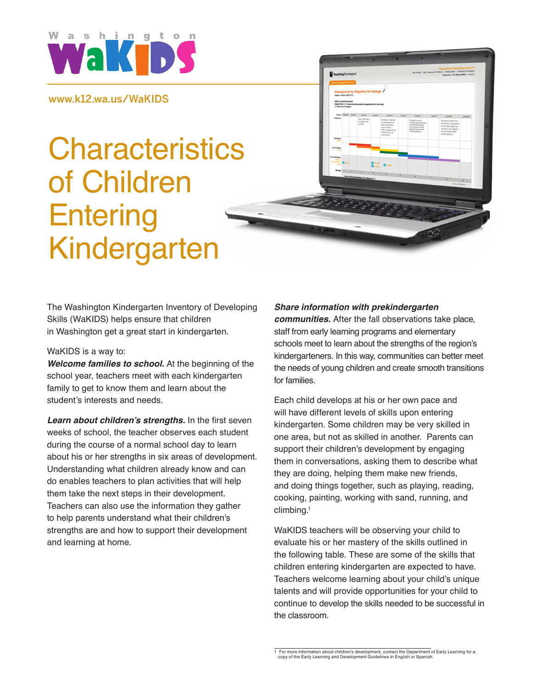

www.k12.wa.us/WaKIDS

# **Characteristics** of Children **Entering** Kindergarten



#### WaKIDS is a way to:

*Welcome families to school.* At the beginning of the school year, teachers meet with each kindergarten family to get to know them and learn about the student's interests and needs.

*Learn about children's strengths.* In the first seven weeks of school, the teacher observes each student during the course of a normal school day to learn about his or her strengths in six areas of development. Understanding what children already know and can do enables teachers to plan activities that will help them take the next steps in their development. Teachers can also use the information they gather to help parents understand what their children's strengths are and how to support their development and learning at home.

## *Share information with prekindergarten*

*communities.* After the fall observations take place, staff from early learning programs and elementary schools meet to learn about the strengths of the region's kindergarteners. In this way, communities can better meet the needs of young children and create smooth transitions for families.

Each child develops at his or her own pace and will have different levels of skills upon entering kindergarten. Some children may be very skilled in one area, but not as skilled in another. Parents can support their children's development by engaging them in conversations, asking them to describe what they are doing, helping them make new friends, and doing things together, such as playing, reading, cooking, painting, working with sand, running, and climbing.1

WaKIDS teachers will be observing your child to evaluate his or her mastery of the skills outlined in the following table. These are some of the skills that children entering kindergarten are expected to have. Teachers welcome learning about your child's unique talents and will provide opportunities for your child to continue to develop the skills needed to be successful in the classroom.

<sup>1</sup> For more information about children's development, contact the Department of Early Learning for a copy of the Early Learning and Development Guidelines in English or Spanish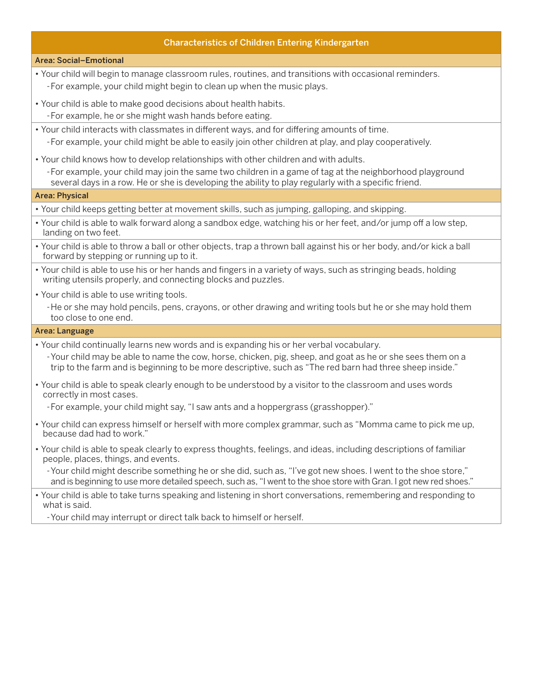## Characteristics of Children Entering Kindergarten

#### Area: Social–Emotional

- • Your child will begin to manage classroom rules, routines, and transitions with occasional reminders. -For example, your child might begin to clean up when the music plays.
- Your child is able to make good decisions about health habits.
- -For example, he or she might wash hands before eating.
- • Your child interacts with classmates in different ways, and for differing amounts of time. -For example, your child might be able to easily join other children at play, and play cooperatively.
- • Your child knows how to develop relationships with other children and with adults.
	- -For example, your child may join the same two children in a game of tag at the neighborhood playground several days in a row. He or she is developing the ability to play regularly with a specific friend.

#### Area: Physical

- • Your child keeps getting better at movement skills, such as jumping, galloping, and skipping.
- • Your child is able to walk forward along a sandbox edge, watching his or her feet, and/or jump off a low step, landing on two feet.
- • Your child is able to throw a ball or other objects, trap a thrown ball against his or her body, and/or kick a ball forward by stepping or running up to it.
- Your child is able to use his or her hands and fingers in a variety of ways, such as stringing beads, holding writing utensils properly, and connecting blocks and puzzles.
- Your child is able to use writing tools.
	- -He or she may hold pencils, pens, crayons, or other drawing and writing tools but he or she may hold them too close to one end.

#### Area: Language

- • Your child continually learns new words and is expanding his or her verbal vocabulary.
- -Your child may be able to name the cow, horse, chicken, pig, sheep, and goat as he or she sees them on a trip to the farm and is beginning to be more descriptive, such as "The red barn had three sheep inside."
- • Your child is able to speak clearly enough to be understood by a visitor to the classroom and uses words correctly in most cases.

-For example, your child might say, "I saw ants and a hoppergrass (grasshopper)."

- • Your child can express himself or herself with more complex grammar, such as "Momma came to pick me up, because dad had to work."
- • Your child is able to speak clearly to express thoughts, feelings, and ideas, including descriptions of familiar people, places, things, and events.
	- -Your child might describe something he or she did, such as, "I've got new shoes. I went to the shoe store," and is beginning to use more detailed speech, such as, "I went to the shoe store with Gran. I got new red shoes."
- • Your child is able to take turns speaking and listening in short conversations, remembering and responding to what is said.
	- -Your child may interrupt or direct talk back to himself or herself.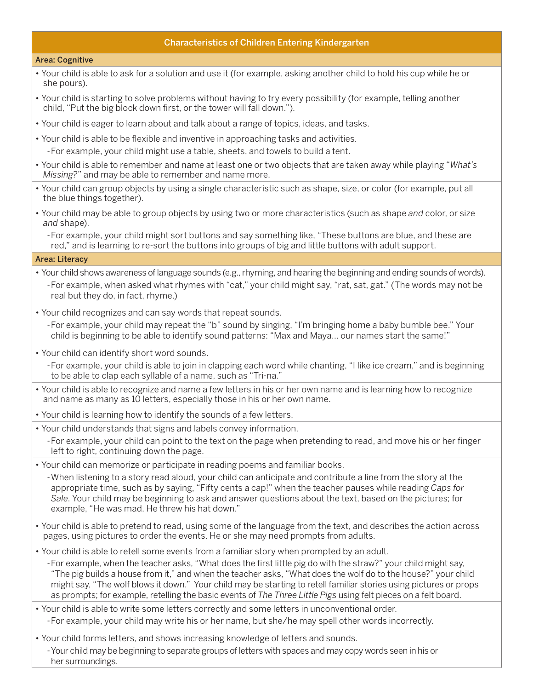## Characteristics of Children Entering Kindergarten

#### Area: Cognitive

- • Your child is able to ask for a solution and use it (for example, asking another child to hold his cup while he or she pours).
- • Your child is starting to solve problems without having to try every possibility (for example, telling another child, "Put the big block down first, or the tower will fall down.").
- • Your child is eager to learn about and talk about a range of topics, ideas, and tasks.
- • Your child is able to be flexible and inventive in approaching tasks and activities.

-For example, your child might use a table, sheets, and towels to build a tent.

- • Your child is able to remember and name at least one or two objects that are taken away while playing "*What's Missing?*" and may be able to remember and name more.
- • Your child can group objects by using a single characteristic such as shape, size, or color (for example, put all the blue things together).
- • Your child may be able to group objects by using two or more characteristics (such as shape *and* color, or size *and* shape).

-For example, your child might sort buttons and say something like, "These buttons are blue, and these are red," and is learning to re-sort the buttons into groups of big and little buttons with adult support.

## Area: Literacy

- Your child shows awareness of language sounds (e.g., rhyming, and hearing the beginning and ending sounds of words). -For example, when asked what rhymes with "cat," your child might say, "rat, sat, gat." (The words may not be real but they do, in fact, rhyme.)
- Your child recognizes and can say words that repeat sounds.

-For example, your child may repeat the "b" sound by singing, "I'm bringing home a baby bumble bee." Your child is beginning to be able to identify sound patterns: "Max and Maya… our names start the same!"

• Your child can identify short word sounds.

-For example, your child is able to join in clapping each word while chanting, "I like ice cream," and is beginning to be able to clap each syllable of a name, such as "Tri-na."

- • Your child is able to recognize and name a few letters in his or her own name and is learning how to recognize and name as many as 10 letters, especially those in his or her own name.
- Your child is learning how to identify the sounds of a few letters.
- Your child understands that signs and labels convey information.
	- -For example, your child can point to the text on the page when pretending to read, and move his or her finger left to right, continuing down the page.
- • Your child can memorize or participate in reading poems and familiar books.

-When listening to a story read aloud, your child can anticipate and contribute a line from the story at the appropriate time, such as by saying, "Fifty cents a cap!" when the teacher pauses while reading *Caps for Sale*. Your child may be beginning to ask and answer questions about the text, based on the pictures; for example, "He was mad. He threw his hat down."

- • Your child is able to pretend to read, using some of the language from the text, and describes the action across pages, using pictures to order the events. He or she may need prompts from adults.
- • Your child is able to retell some events from a familiar story when prompted by an adult.

-For example, when the teacher asks, "What does the first little pig do with the straw?" your child might say, "The pig builds a house from it," and when the teacher asks, "What does the wolf do to the house?" your child might say, "The wolf blows it down." Your child may be starting to retell familiar stories using pictures or props as prompts; for example, retelling the basic events of *The Three Little Pigs* using felt pieces on a felt board.

• Your child is able to write some letters correctly and some letters in unconventional order.

-For example, your child may write his or her name, but she/he may spell other words incorrectly.

• Your child forms letters, and shows increasing knowledge of letters and sounds.

-Your child may be beginning to separate groups of letters with spaces and may copy words seen in his or her surroundings.